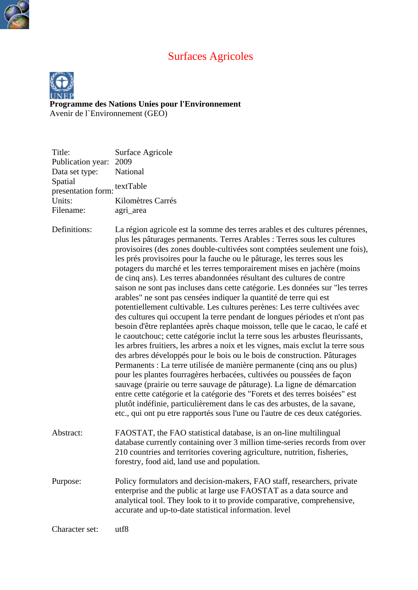# Surfaces Agricoles



**[Program](http://www.unep.org/)me des Nations Unies pour l'Environnement** Avenir de l`Environnement (GEO)

| Title:<br>Publication year:<br>Data set type:<br>Spatial<br>presentation form:<br>Units:<br>Filename: | Surface Agricole<br>2009<br>National<br>textTable<br>Kilomètres Carrés<br>agri_area                                                                                                                                                                                                                                                                                                                                                                                                                                                                                                                                                                                                                                                                                                                                                                                                                                                                                                                                                                                                                                                                                                                                                                                                                                                                                                                                                                                                                                                                                                                         |
|-------------------------------------------------------------------------------------------------------|-------------------------------------------------------------------------------------------------------------------------------------------------------------------------------------------------------------------------------------------------------------------------------------------------------------------------------------------------------------------------------------------------------------------------------------------------------------------------------------------------------------------------------------------------------------------------------------------------------------------------------------------------------------------------------------------------------------------------------------------------------------------------------------------------------------------------------------------------------------------------------------------------------------------------------------------------------------------------------------------------------------------------------------------------------------------------------------------------------------------------------------------------------------------------------------------------------------------------------------------------------------------------------------------------------------------------------------------------------------------------------------------------------------------------------------------------------------------------------------------------------------------------------------------------------------------------------------------------------------|
| Definitions:                                                                                          | La région agricole est la somme des terres arables et des cultures pérennes,<br>plus les pâturages permanents. Terres Arables : Terres sous les cultures<br>provisoires (des zones double-cultivées sont comptées seulement une fois),<br>les prés provisoires pour la fauche ou le pâturage, les terres sous les<br>potagers du marché et les terres temporairement mises en jachère (moins<br>de cinq ans). Les terres abandonnées résultant des cultures de contre<br>saison ne sont pas incluses dans cette catégorie. Les données sur "les terres<br>arables" ne sont pas censées indiquer la quantité de terre qui est<br>potentiellement cultivable. Les cultures perènes: Les terre cultivées avec<br>des cultures qui occupent la terre pendant de longues périodes et n'ont pas<br>besoin d'être replantées après chaque moisson, telle que le cacao, le café et<br>le caoutchouc; cette catégorie inclut la terre sous les arbustes fleurissants,<br>les arbres fruitiers, les arbres a noix et les vignes, mais exclut la terre sous<br>des arbres développés pour le bois ou le bois de construction. Pâturages<br>Permanents : La terre utilisée de manière permanente (cinq ans ou plus)<br>pour les plantes fourragères herbacées, cultivées ou poussées de façon<br>sauvage (prairie ou terre sauvage de pâturage). La ligne de démarcation<br>entre cette catégorie et la catégorie des "Forets et des terres boisées" est<br>plutôt indéfinie, particulièrement dans le cas des arbustes, de la savane,<br>etc., qui ont pu etre rapportés sous l'une ou l'autre de ces deux catégories. |
| Abstract:                                                                                             | FAOSTAT, the FAO statistical database, is an on-line multilingual<br>database currently containing over 3 million time-series records from over<br>210 countries and territories covering agriculture, nutrition, fisheries,<br>forestry, food aid, land use and population.                                                                                                                                                                                                                                                                                                                                                                                                                                                                                                                                                                                                                                                                                                                                                                                                                                                                                                                                                                                                                                                                                                                                                                                                                                                                                                                                |
| Purpose:                                                                                              | Policy formulators and decision-makers, FAO staff, researchers, private<br>enterprise and the public at large use FAOSTAT as a data source and<br>analytical tool. They look to it to provide comparative, comprehensive,<br>accurate and up-to-date statistical information. level                                                                                                                                                                                                                                                                                                                                                                                                                                                                                                                                                                                                                                                                                                                                                                                                                                                                                                                                                                                                                                                                                                                                                                                                                                                                                                                         |
| Character set:                                                                                        | utf8                                                                                                                                                                                                                                                                                                                                                                                                                                                                                                                                                                                                                                                                                                                                                                                                                                                                                                                                                                                                                                                                                                                                                                                                                                                                                                                                                                                                                                                                                                                                                                                                        |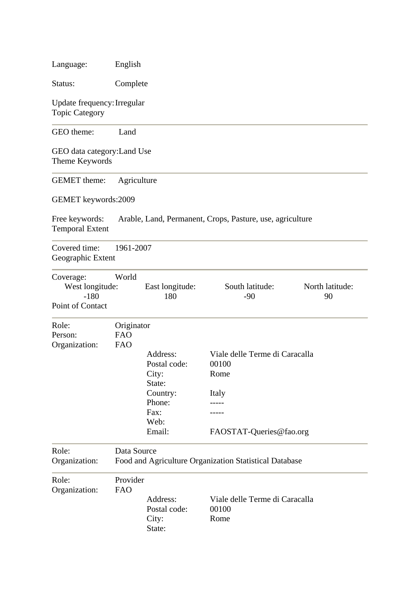| Language:                                                                                     | English                                                               |                                                                                             |                                                                                     |  |
|-----------------------------------------------------------------------------------------------|-----------------------------------------------------------------------|---------------------------------------------------------------------------------------------|-------------------------------------------------------------------------------------|--|
| Status:                                                                                       | Complete                                                              |                                                                                             |                                                                                     |  |
| Update frequency: Irregular<br><b>Topic Category</b>                                          |                                                                       |                                                                                             |                                                                                     |  |
| GEO theme:                                                                                    | Land                                                                  |                                                                                             |                                                                                     |  |
| GEO data category: Land Use<br>Theme Keywords                                                 |                                                                       |                                                                                             |                                                                                     |  |
| <b>GEMET</b> theme:                                                                           | Agriculture                                                           |                                                                                             |                                                                                     |  |
| GEMET keywords:2009                                                                           |                                                                       |                                                                                             |                                                                                     |  |
| Free keywords:<br><b>Temporal Extent</b>                                                      |                                                                       |                                                                                             | Arable, Land, Permanent, Crops, Pasture, use, agriculture                           |  |
| Covered time:<br>Geographic Extent                                                            | 1961-2007                                                             |                                                                                             |                                                                                     |  |
| World<br>Coverage:<br>West longitude:<br>East longitude:<br>$-180$<br>180<br>Point of Contact |                                                                       | South latitude:<br>$-90$                                                                    | North latitude:<br>90                                                               |  |
| Role:<br>Person:<br>Organization:                                                             | Originator<br><b>FAO</b><br><b>FAO</b>                                | Address:<br>Postal code:<br>City:<br>State:<br>Country:<br>Phone:<br>Fax:<br>Web:<br>Email: | Viale delle Terme di Caracalla<br>00100<br>Rome<br>Italy<br>FAOSTAT-Queries@fao.org |  |
| Role:<br>Organization:                                                                        | Data Source<br>Food and Agriculture Organization Statistical Database |                                                                                             |                                                                                     |  |
| Role:<br>Organization:                                                                        | Provider<br><b>FAO</b>                                                | Address:<br>Postal code:<br>City:<br>State:                                                 | Viale delle Terme di Caracalla<br>00100<br>Rome                                     |  |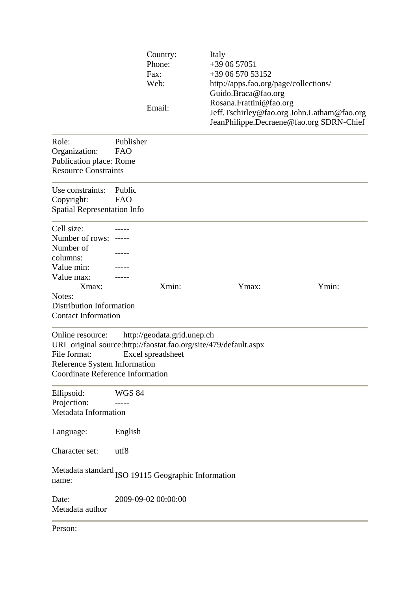|                                                                                                             |                         | Country:<br>Phone:<br>Fax:<br>Web:<br>Email:     | Italy<br>+39 06 57051<br>+39 06 570 53152<br>http://apps.fao.org/page/collections/<br>Guido.Braca@fao.org<br>Rosana.Frattini@fao.org<br>JeanPhilippe.Decraene@fao.org SDRN-Chief | Jeff.Tschirley@fao.org John.Latham@fao.org |
|-------------------------------------------------------------------------------------------------------------|-------------------------|--------------------------------------------------|----------------------------------------------------------------------------------------------------------------------------------------------------------------------------------|--------------------------------------------|
| Role:<br>Organization:<br>Publication place: Rome<br><b>Resource Constraints</b>                            | Publisher<br><b>FAO</b> |                                                  |                                                                                                                                                                                  |                                            |
| Use constraints:<br>Copyright:<br><b>Spatial Representation Info</b>                                        | Public<br><b>FAO</b>    |                                                  |                                                                                                                                                                                  |                                            |
| Cell size:<br>Number of rows: -----<br>Number of<br>columns:<br>Value min:<br>Value max:<br>Xmax:<br>Notes: |                         | Xmin:                                            | Ymax:                                                                                                                                                                            | Ymin:                                      |
| <b>Distribution Information</b><br><b>Contact Information</b>                                               |                         |                                                  |                                                                                                                                                                                  |                                            |
| Online resource:<br>File format:<br>Reference System Information<br><b>Coordinate Reference Information</b> |                         | http://geodata.grid.unep.ch<br>Excel spreadsheet | URL original source:http://faostat.fao.org/site/479/default.aspx                                                                                                                 |                                            |
| Ellipsoid:<br>Projection:<br>Metadata Information                                                           | <b>WGS 84</b>           |                                                  |                                                                                                                                                                                  |                                            |
| Language:                                                                                                   | English                 |                                                  |                                                                                                                                                                                  |                                            |
| Character set:                                                                                              | utf8                    |                                                  |                                                                                                                                                                                  |                                            |
| Metadata standard ISO 19115 Geographic Information<br>name:                                                 |                         |                                                  |                                                                                                                                                                                  |                                            |
| Date:<br>Metadata author                                                                                    |                         | 2009-09-02 00:00:00                              |                                                                                                                                                                                  |                                            |
| Person:                                                                                                     |                         |                                                  |                                                                                                                                                                                  |                                            |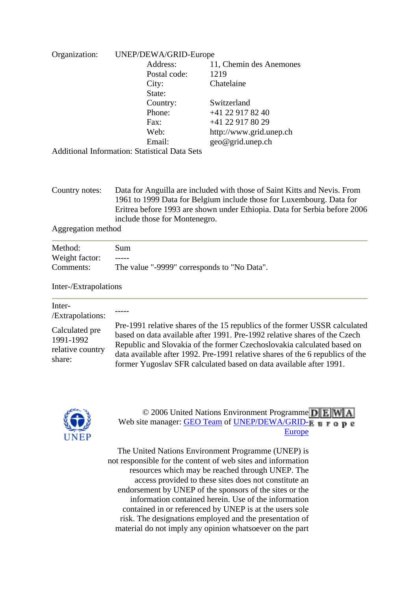| Organization: | UNEP/DEWA/GRID-Europe                                |                         |  |
|---------------|------------------------------------------------------|-------------------------|--|
|               | Address:                                             | 11, Chemin des Anemones |  |
|               | Postal code:                                         | 1219                    |  |
|               | City:                                                | Chatelaine              |  |
|               | State:                                               |                         |  |
|               | Country:                                             | Switzerland             |  |
|               | Phone:                                               | $+41$ 22 917 82 40      |  |
|               | $\text{Fax}:$                                        | +41 22 917 80 29        |  |
|               | Web:                                                 | http://www.grid.unep.ch |  |
|               | Email:                                               | geo@grid.unep.ch        |  |
|               | <b>Additional Information: Statistical Data Sets</b> |                         |  |

Country notes: Data for Anguilla are included with those of Saint Kitts and Nevis. From 1961 to 1999 Data for Belgium include those for Luxembourg. Data for Eritrea before 1993 are shown under Ethiopia. Data for Serbia before 2006 include those for Montenegro.

Aggregation method

| Method:        | Sum                                         |
|----------------|---------------------------------------------|
| Weight factor: |                                             |
| Comments:      | The value "-9999" corresponds to "No Data". |

### Inter-/Extrapolations

| Inter-<br>/Extrapolations:                                |                                                                                                                                                                                                                                                                                                                                                                                          |
|-----------------------------------------------------------|------------------------------------------------------------------------------------------------------------------------------------------------------------------------------------------------------------------------------------------------------------------------------------------------------------------------------------------------------------------------------------------|
| Calculated pre<br>1991-1992<br>relative country<br>share: | Pre-1991 relative shares of the 15 republics of the former USSR calculated<br>based on data available after 1991. Pre-1992 relative shares of the Czech<br>Republic and Slovakia of the former Czechoslovakia calculated based on<br>data available after 1992. Pre-1991 relative shares of the 6 republics of the<br>former Yugoslav SFR calculated based on data available after 1991. |



### © 2006 Unit[e](http://www.grid.unep.ch/)d Nations Environment Programme DE Web site manager: [GEO Team](http://geodata.grid.unep.ch/extras/contact.php) of UNEP/DEWA/GRID- $\mu$  **u r a p e** [Europe](http://www.grid.unep.ch/)

[The United Nations Environment Programme \(UNEP\) is](http://www.grid.unep.ch/) [not responsible for the content of web sites and information](http://www.grid.unep.ch/) [resources which may be reached through UNEP. The](http://www.grid.unep.ch/) [access provided to these sites does not constitute an](http://www.grid.unep.ch/) [endorsement by UNEP of the sponsors of the sites or the](http://www.grid.unep.ch/) [information contained herein. Use of the information](http://www.grid.unep.ch/)  [contained in or referenced by UNEP is at the users sole](http://www.grid.unep.ch/) [risk. The designations employed and the presentation of](http://www.grid.unep.ch/) [material do not imply any opinion whatsoever on the part](http://www.grid.unep.ch/)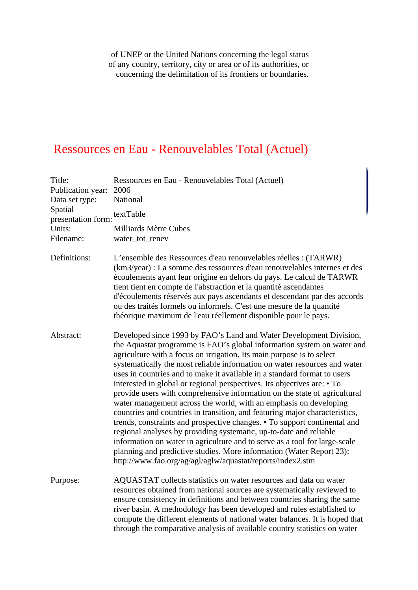of UNEP or the United Nations concerning the legal status of any country, territory, city or area or of its authorities, or concerning the delimitation of its frontiers or boundaries.

# Ressources en Eau - Renouvelables Total (Actuel)

| Title:<br>Publication year:<br>Data set type:<br>Spatial<br>presentation form:<br>Units:<br>Filename: | Ressources en Eau - Renouvelables Total (Actuel)<br>2006<br>National<br>textTable                                                                                                                                                                                                                                                                                                                                                                                                                                                                                                                                                                                                                                                                                                                                                                                                                                                                                                                                                                                 |  |  |  |
|-------------------------------------------------------------------------------------------------------|-------------------------------------------------------------------------------------------------------------------------------------------------------------------------------------------------------------------------------------------------------------------------------------------------------------------------------------------------------------------------------------------------------------------------------------------------------------------------------------------------------------------------------------------------------------------------------------------------------------------------------------------------------------------------------------------------------------------------------------------------------------------------------------------------------------------------------------------------------------------------------------------------------------------------------------------------------------------------------------------------------------------------------------------------------------------|--|--|--|
|                                                                                                       | <b>Milliards Mètre Cubes</b><br>water_tot_renev                                                                                                                                                                                                                                                                                                                                                                                                                                                                                                                                                                                                                                                                                                                                                                                                                                                                                                                                                                                                                   |  |  |  |
| Definitions:                                                                                          | L'ensemble des Ressources d'eau renouvelables réelles : (TARWR)<br>(km3/year) : La somme des ressources d'eau renouvelables internes et des<br>écoulements ayant leur origine en dehors du pays. Le calcul de TARWR<br>tient tient en compte de l'abstraction et la quantité ascendantes<br>d'écoulements réservés aux pays ascendants et descendant par des accords<br>ou des traités formels ou informels. C'est une mesure de la quantité<br>théorique maximum de l'eau réellement disponible pour le pays.                                                                                                                                                                                                                                                                                                                                                                                                                                                                                                                                                    |  |  |  |
| Abstract:                                                                                             | Developed since 1993 by FAO's Land and Water Development Division,<br>the Aquastat programme is FAO's global information system on water and<br>agriculture with a focus on irrigation. Its main purpose is to select<br>systematically the most reliable information on water resources and water<br>uses in countries and to make it available in a standard format to users<br>interested in global or regional perspectives. Its objectives are: • To<br>provide users with comprehensive information on the state of agricultural<br>water management across the world, with an emphasis on developing<br>countries and countries in transition, and featuring major characteristics,<br>trends, constraints and prospective changes. • To support continental and<br>regional analyses by providing systematic, up-to-date and reliable<br>information on water in agriculture and to serve as a tool for large-scale<br>planning and predictive studies. More information (Water Report 23):<br>http://www.fao.org/ag/agl/aglw/aquastat/reports/index2.stm |  |  |  |
| Purpose:                                                                                              | AQUASTAT collects statistics on water resources and data on water<br>resources obtained from national sources are systematically reviewed to<br>ensure consistency in definitions and between countries sharing the same<br>river basin. A methodology has been developed and rules established to<br>compute the different elements of national water balances. It is hoped that<br>through the comparative analysis of available country statistics on water                                                                                                                                                                                                                                                                                                                                                                                                                                                                                                                                                                                                    |  |  |  |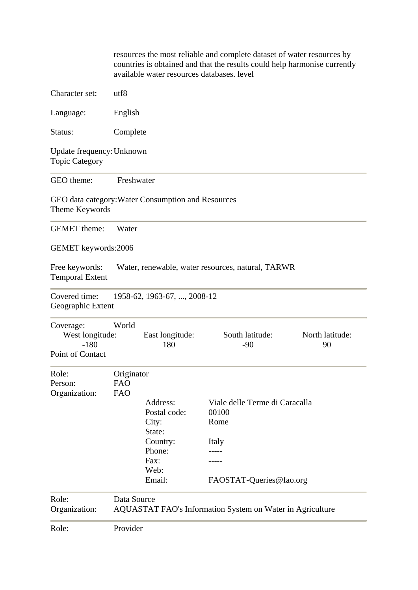|                                                            |                                        | available water resources databases. level         | resources the most reliable and complete dataset of water resources by<br>countries is obtained and that the results could help harmonise currently |                       |
|------------------------------------------------------------|----------------------------------------|----------------------------------------------------|-----------------------------------------------------------------------------------------------------------------------------------------------------|-----------------------|
| Character set:                                             | utf8                                   |                                                    |                                                                                                                                                     |                       |
| Language:                                                  | English                                |                                                    |                                                                                                                                                     |                       |
| Status:                                                    | Complete                               |                                                    |                                                                                                                                                     |                       |
| Update frequency: Unknown<br><b>Topic Category</b>         |                                        |                                                    |                                                                                                                                                     |                       |
| GEO theme:                                                 | Freshwater                             |                                                    |                                                                                                                                                     |                       |
| Theme Keywords                                             |                                        | GEO data category: Water Consumption and Resources |                                                                                                                                                     |                       |
| <b>GEMET</b> theme:                                        | Water                                  |                                                    |                                                                                                                                                     |                       |
| GEMET keywords:2006                                        |                                        |                                                    |                                                                                                                                                     |                       |
| Free keywords:<br><b>Temporal Extent</b>                   |                                        |                                                    | Water, renewable, water resources, natural, TARWR                                                                                                   |                       |
| Covered time:<br>Geographic Extent                         |                                        | 1958-62, 1963-67, , 2008-12                        |                                                                                                                                                     |                       |
| Coverage:<br>West longitude:<br>$-180$<br>Point of Contact | World                                  | East longitude:<br>180                             | South latitude:<br>$-90$                                                                                                                            | North latitude:<br>90 |
| Role:<br>Person:<br>Organization:                          | Originator<br><b>FAO</b><br><b>FAO</b> | Address:                                           | Viale delle Terme di Caracalla                                                                                                                      |                       |
|                                                            |                                        | Postal code:<br>City:<br>State:                    | 00100<br>Rome                                                                                                                                       |                       |
|                                                            |                                        | Country:<br>Phone:                                 | Italy                                                                                                                                               |                       |
|                                                            |                                        | Fax:<br>Web:                                       |                                                                                                                                                     |                       |
|                                                            |                                        | Email:                                             | FAOSTAT-Queries@fao.org                                                                                                                             |                       |
| Role:<br>Organization:                                     | Data Source                            |                                                    | <b>AQUASTAT FAO's Information System on Water in Agriculture</b>                                                                                    |                       |
| Role:                                                      | Provider                               |                                                    |                                                                                                                                                     |                       |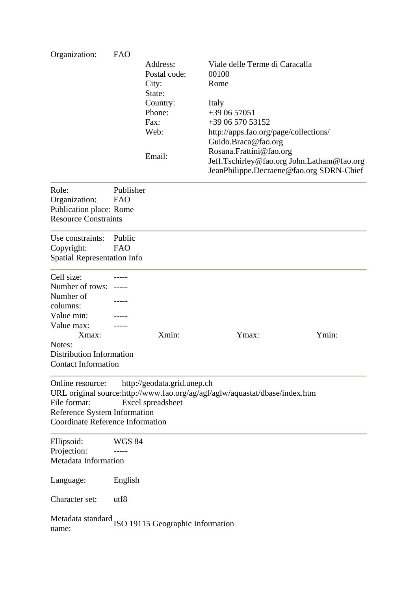| Organization:                                               | <b>FAO</b>    |                             |                                                                             |                                            |
|-------------------------------------------------------------|---------------|-----------------------------|-----------------------------------------------------------------------------|--------------------------------------------|
|                                                             |               | Address:                    | Viale delle Terme di Caracalla                                              |                                            |
|                                                             |               | Postal code:                | 00100                                                                       |                                            |
|                                                             |               | City:                       | Rome                                                                        |                                            |
|                                                             |               | State:                      |                                                                             |                                            |
|                                                             |               |                             |                                                                             |                                            |
|                                                             |               | Country:                    | Italy                                                                       |                                            |
|                                                             |               | Phone:                      | $+390657051$                                                                |                                            |
|                                                             |               | Fax:                        | +39 06 570 53152                                                            |                                            |
|                                                             |               | Web:                        | http://apps.fao.org/page/collections/                                       |                                            |
|                                                             |               |                             | Guido.Braca@fao.org                                                         |                                            |
|                                                             |               | Email:                      | Rosana.Frattini@fao.org                                                     |                                            |
|                                                             |               |                             |                                                                             | Jeff.Tschirley@fao.org John.Latham@fao.org |
|                                                             |               |                             | JeanPhilippe.Decraene@fao.org SDRN-Chief                                    |                                            |
| Role:                                                       | Publisher     |                             |                                                                             |                                            |
| Organization:                                               | <b>FAO</b>    |                             |                                                                             |                                            |
| Publication place: Rome                                     |               |                             |                                                                             |                                            |
| <b>Resource Constraints</b>                                 |               |                             |                                                                             |                                            |
|                                                             |               |                             |                                                                             |                                            |
| Use constraints:                                            | Public        |                             |                                                                             |                                            |
| Copyright:                                                  | FAO           |                             |                                                                             |                                            |
| <b>Spatial Representation Info</b>                          |               |                             |                                                                             |                                            |
|                                                             |               |                             |                                                                             |                                            |
| Cell size:                                                  |               |                             |                                                                             |                                            |
| Number of rows: -----                                       |               |                             |                                                                             |                                            |
| Number of                                                   |               |                             |                                                                             |                                            |
| columns:                                                    |               |                             |                                                                             |                                            |
| Value min:                                                  |               |                             |                                                                             |                                            |
| Value max:                                                  |               |                             |                                                                             |                                            |
| Xmax:                                                       |               | Xmin:                       | Ymax:                                                                       | Ymin:                                      |
| Notes:                                                      |               |                             |                                                                             |                                            |
| Distribution Information                                    |               |                             |                                                                             |                                            |
| <b>Contact Information</b>                                  |               |                             |                                                                             |                                            |
|                                                             |               |                             |                                                                             |                                            |
| Online resource:                                            |               | http://geodata.grid.unep.ch |                                                                             |                                            |
|                                                             |               |                             | URL original source:http://www.fao.org/ag/agl/aglw/aquastat/dbase/index.htm |                                            |
| File format:                                                |               | Excel spreadsheet           |                                                                             |                                            |
| Reference System Information                                |               |                             |                                                                             |                                            |
| <b>Coordinate Reference Information</b>                     |               |                             |                                                                             |                                            |
| Ellipsoid:                                                  | <b>WGS 84</b> |                             |                                                                             |                                            |
| Projection:                                                 |               |                             |                                                                             |                                            |
| Metadata Information                                        |               |                             |                                                                             |                                            |
|                                                             |               |                             |                                                                             |                                            |
| Language:                                                   | English       |                             |                                                                             |                                            |
| Character set:                                              | utf8          |                             |                                                                             |                                            |
| Metadata standard ISO 19115 Geographic Information<br>name: |               |                             |                                                                             |                                            |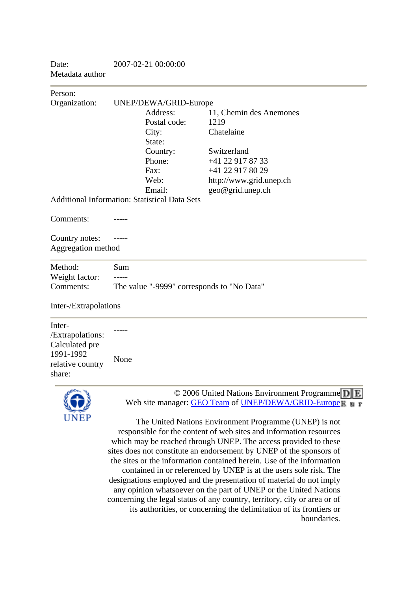Date: 2007-02-21 00:00:00 Metadata author

Person: Organization: UNEP/DEWA/GRID-Europe Address: 11, Chemin des Anemones Postal code: 1219 City: Chatelaine State: Country: Switzerland Phone: +41 22 917 87 33 Fax: +41 22 917 80 29 Web: http://www.grid.unep.ch Email: geo@grid.unep.ch Additional Information: Statistical Data Sets Comments: Country notes: -----Aggregation method Method: Sum Weight factor: -----Comments: The value "-9999" corresponds to "No Data" Inter-/Extrapolations

Inter- /Extrapolations: Calculated pre 1991-1992 None

relative country

share:

© 2006 Unit[e](http://www.grid.unep.ch/)d Nations Environment Programme DE Web site manager: [GEO Team](http://geodata.grid.unep.ch/extras/contact.php) of [UNEP/DEWA/GRID-Europe](http://www.grid.unep.ch/)

[The United Nations Environment Programme \(UNEP\) is not](http://www.grid.unep.ch/) [responsible for the content of web sites and information resources](http://www.grid.unep.ch/) [which may be reached through UNEP. The access provided to these](http://www.grid.unep.ch/) [sites does not constitute an endorsement by UNEP of the sponsors of](http://www.grid.unep.ch/) [the sites or the information contained herein. Use of the information](http://www.grid.unep.ch/) [contained in or referenced by UNEP is at the users sole risk. The](http://www.grid.unep.ch/) [designations employed and the presentation of material do not imply](http://www.grid.unep.ch/) [any opinion whatsoever on the part of UNEP or the United Nations](http://www.grid.unep.ch/) [concerning the legal status of any country, territory, city or area or of](http://www.grid.unep.ch/) [its authorities, or concerning the delimitation of its frontiers or](http://www.grid.unep.ch/) [boundaries.](http://www.grid.unep.ch/)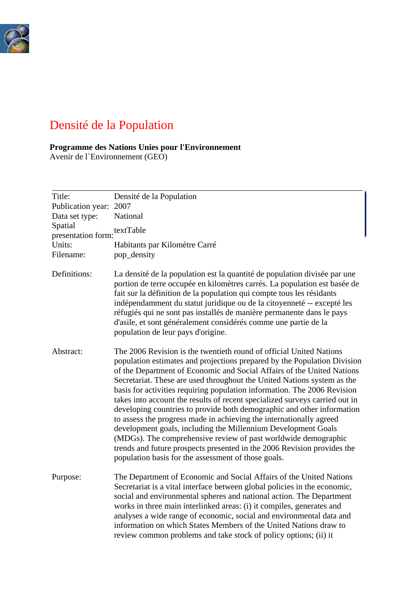

# Densité de la Population

## **[P](http://www.unep.org/geo/)rogramme des Nations Unies pour l'Environnement**

Avenir de l`Environnement (GEO)

| Title:<br>Publication year:<br>Data set type:<br>Spatial<br>presentation form: textTable<br>Units:<br>Filename: | Densité de la Population<br>2007<br>National<br>Habitants par Kilomètre Carré<br>pop_density                                                                                                                                                                                                                                                                                                                                                                                                                                                                                                                                                                                                                                                                                                                                                                                          |
|-----------------------------------------------------------------------------------------------------------------|---------------------------------------------------------------------------------------------------------------------------------------------------------------------------------------------------------------------------------------------------------------------------------------------------------------------------------------------------------------------------------------------------------------------------------------------------------------------------------------------------------------------------------------------------------------------------------------------------------------------------------------------------------------------------------------------------------------------------------------------------------------------------------------------------------------------------------------------------------------------------------------|
| Definitions:                                                                                                    | La densité de la population est la quantité de population divisée par une<br>portion de terre occupée en kilomètres carrés. La population est basée de<br>fait sur la définition de la population qui compte tous les résidants<br>indépendamment du statut juridique ou de la citoyenneté -- excepté les<br>réfugiés qui ne sont pas installés de manière permanente dans le pays<br>d'asile, et sont généralement considérés comme une partie de la<br>population de leur pays d'origine.                                                                                                                                                                                                                                                                                                                                                                                           |
| Abstract:                                                                                                       | The 2006 Revision is the twentieth round of official United Nations<br>population estimates and projections prepared by the Population Division<br>of the Department of Economic and Social Affairs of the United Nations<br>Secretariat. These are used throughout the United Nations system as the<br>basis for activities requiring population information. The 2006 Revision<br>takes into account the results of recent specialized surveys carried out in<br>developing countries to provide both demographic and other information<br>to assess the progress made in achieving the internationally agreed<br>development goals, including the Millennium Development Goals<br>(MDGs). The comprehensive review of past worldwide demographic<br>trends and future prospects presented in the 2006 Revision provides the<br>population basis for the assessment of those goals. |
| Purpose:                                                                                                        | The Department of Economic and Social Affairs of the United Nations<br>Secretariat is a vital interface between global policies in the economic,<br>social and environmental spheres and national action. The Department<br>works in three main interlinked areas: (i) it compiles, generates and<br>analyses a wide range of economic, social and environmental data and<br>information on which States Members of the United Nations draw to<br>review common problems and take stock of policy options; (ii) it                                                                                                                                                                                                                                                                                                                                                                    |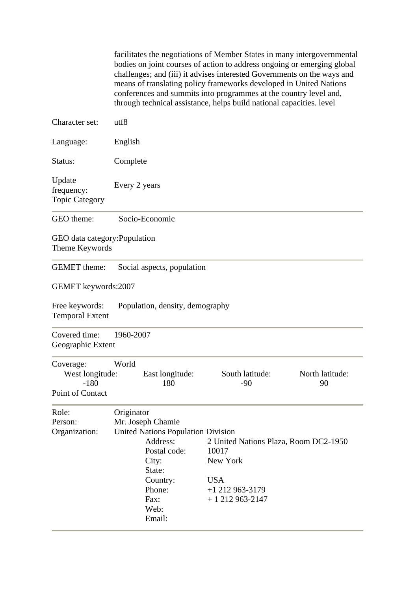facilitates the negotiations of Member States in many intergovernmental bodies on joint courses of action to address ongoing or emerging global challenges; and (iii) it advises interested Governments on the ways and means of translating policy frameworks developed in United Nations conferences and summits into programmes at the country level and, through technical assistance, helps build national capacities. level

| Character set:                                             | utf8                                                                                                                                                                        |                                                                                                                  |                       |
|------------------------------------------------------------|-----------------------------------------------------------------------------------------------------------------------------------------------------------------------------|------------------------------------------------------------------------------------------------------------------|-----------------------|
| Language:                                                  | English                                                                                                                                                                     |                                                                                                                  |                       |
| Status:                                                    | Complete                                                                                                                                                                    |                                                                                                                  |                       |
| Update<br>frequency:<br><b>Topic Category</b>              | Every 2 years                                                                                                                                                               |                                                                                                                  |                       |
| GEO theme:                                                 | Socio-Economic                                                                                                                                                              |                                                                                                                  |                       |
| GEO data category: Population<br>Theme Keywords            |                                                                                                                                                                             |                                                                                                                  |                       |
| <b>GEMET</b> theme:                                        | Social aspects, population                                                                                                                                                  |                                                                                                                  |                       |
| GEMET keywords:2007                                        |                                                                                                                                                                             |                                                                                                                  |                       |
| Free keywords:<br><b>Temporal Extent</b>                   | Population, density, demography                                                                                                                                             |                                                                                                                  |                       |
| Covered time:<br>Geographic Extent                         | 1960-2007                                                                                                                                                                   |                                                                                                                  |                       |
| Coverage:<br>West longitude:<br>$-180$<br>Point of Contact | World<br>East longitude:<br>180                                                                                                                                             | South latitude:<br>$-90$                                                                                         | North latitude:<br>90 |
| Role:<br>Person:<br>Organization:                          | Originator<br>Mr. Joseph Chamie<br><b>United Nations Population Division</b><br>Address:<br>Postal code:<br>City:<br>State:<br>Country:<br>Phone:<br>Fax:<br>Web:<br>Email: | 2 United Nations Plaza, Room DC2-1950<br>10017<br>New York<br><b>USA</b><br>$+1$ 212 963-3179<br>$+1212963-2147$ |                       |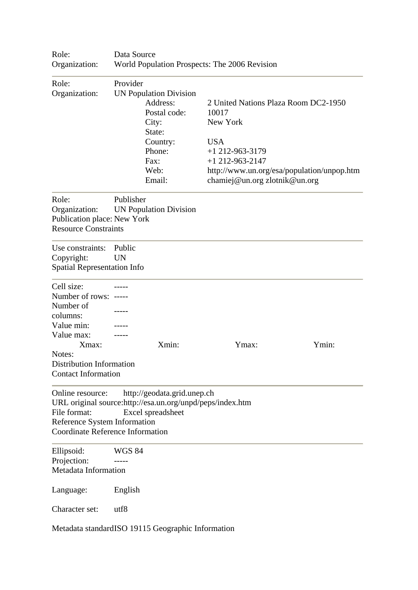| Role:<br>Organization:                                                                                                                                                | Data Source<br>World Population Prospects: The 2006 Revision                                                                             |                                                                                                                                                                                                  |       |
|-----------------------------------------------------------------------------------------------------------------------------------------------------------------------|------------------------------------------------------------------------------------------------------------------------------------------|--------------------------------------------------------------------------------------------------------------------------------------------------------------------------------------------------|-------|
| Role:<br>Organization:                                                                                                                                                | Provider<br><b>UN Population Division</b><br>Address:<br>Postal code:<br>City:<br>State:<br>Country:<br>Phone:<br>Fax:<br>Web:<br>Email: | 2 United Nations Plaza Room DC2-1950<br>10017<br>New York<br><b>USA</b><br>$+1$ 212-963-3179<br>$+1$ 212-963-2147<br>http://www.un.org/esa/population/unpop.htm<br>chamiej@un.org zlotnik@un.org |       |
| Role:<br>Organization:<br>Publication place: New York<br><b>Resource Constraints</b>                                                                                  | Publisher<br><b>UN Population Division</b>                                                                                               |                                                                                                                                                                                                  |       |
| Use constraints:<br>Copyright:<br><b>Spatial Representation Info</b>                                                                                                  | Public<br><b>UN</b>                                                                                                                      |                                                                                                                                                                                                  |       |
| Cell size:<br>Number of rows: -----<br>Number of<br>columns:<br>Value min:<br>Value max:<br>Xmax:<br>Notes:<br>Distribution Information<br><b>Contact Information</b> | Xmin:                                                                                                                                    | Ymax:                                                                                                                                                                                            | Ymin: |
| Online resource:<br>File format:<br>Reference System Information<br><b>Coordinate Reference Information</b>                                                           | http://geodata.grid.unep.ch<br>URL original source:http://esa.un.org/unpd/peps/index.htm<br>Excel spreadsheet                            |                                                                                                                                                                                                  |       |
| Ellipsoid:<br>Projection:<br>Metadata Information                                                                                                                     | <b>WGS 84</b>                                                                                                                            |                                                                                                                                                                                                  |       |
| Language:                                                                                                                                                             | English                                                                                                                                  |                                                                                                                                                                                                  |       |
| Character set:                                                                                                                                                        | utf8                                                                                                                                     |                                                                                                                                                                                                  |       |
|                                                                                                                                                                       | Metadata standardISO 19115 Geographic Information                                                                                        |                                                                                                                                                                                                  |       |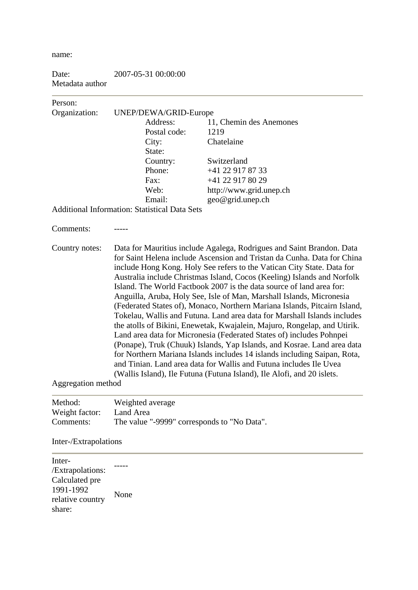name:

| Date:           | 2007-05-31 00:00:00 |
|-----------------|---------------------|
| Metadata author |                     |

### Person: Organization: UNEP/DEWA/GRID-Europe Address: 11, Chemin des Anemones Postal code: 1219 City: Chatelaine State: Country: Switzerland Phone: +41 22 917 87 33 Fax: +41 22 917 80 29 Web: http://www.grid.unep.ch Email: geo@grid.unep.ch Additional Information: Statistical Data Sets Comments<sup>-</sup> Country notes: Data for Mauritius include Agalega, Rodrigues and Saint Brandon. Data for Saint Helena include Ascension and Tristan da Cunha. Data for China include Hong Kong. Holy See refers to the Vatican City State. Data for Australia include Christmas Island, Cocos (Keeling) Islands and Norfolk Island. The World Factbook 2007 is the data source of land area for: Anguilla, Aruba, Holy See, Isle of Man, Marshall Islands, Micronesia (Federated States of), Monaco, Northern Mariana Islands, Pitcairn Island, Tokelau, Wallis and Futuna. Land area data for Marshall Islands includes the atolls of Bikini, Enewetak, Kwajalein, Majuro, Rongelap, and Utirik. Land area data for Micronesia (Federated States of) includes Pohnpei (Ponape), Truk (Chuuk) Islands, Yap Islands, and Kosrae. Land area data for Northern Mariana Islands includes 14 islands including Saipan, Rota, and Tinian. Land area data for Wallis and Futuna includes Ile Uvea (Wallis Island), Ile Futuna (Futuna Island), Ile Alofi, and 20 islets. Aggregation method

| Method:        | Weighted average                            |
|----------------|---------------------------------------------|
| Weight factor: | Land Area                                   |
| Comments:      | The value "-9999" corresponds to "No Data". |

#### Inter-/Extrapolations

Inter- /Extrapolations: Calculated pre 1991-1992 relative country share: None